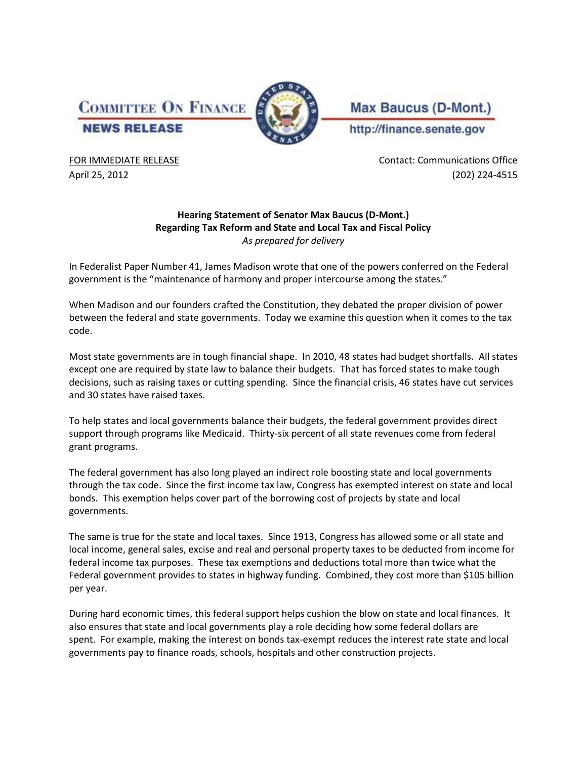**COMMITTEE ON FINANCE NEWS RELEASE** 



**Max Baucus (D-Mont.)** http://finance.senate.gov

FOR IMMEDIATE RELEASE **CONTACT IN EXAMPLE 2018** Contact: Communications Office April 25, 2012 (202) 224-4515

## **Hearing Statement of Senator Max Baucus (D-Mont.) Regarding Tax Reform and State and Local Tax and Fiscal Policy** *As prepared for delivery*

In Federalist Paper Number 41, James Madison wrote that one of the powers conferred on the Federal government is the "maintenance of harmony and proper intercourse among the states."

When Madison and our founders crafted the Constitution, they debated the proper division of power between the federal and state governments. Today we examine this question when it comes to the tax code.

Most state governments are in tough financial shape. In 2010, 48 states had budget shortfalls. All states except one are required by state law to balance their budgets. That has forced states to make tough decisions, such as raising taxes or cutting spending. Since the financial crisis, 46 states have cut services and 30 states have raised taxes.

To help states and local governments balance their budgets, the federal government provides direct support through programs like Medicaid. Thirty-six percent of all state revenues come from federal grant programs.

The federal government has also long played an indirect role boosting state and local governments through the tax code. Since the first income tax law, Congress has exempted interest on state and local bonds. This exemption helps cover part of the borrowing cost of projects by state and local governments.

The same is true for the state and local taxes. Since 1913, Congress has allowed some or all state and local income, general sales, excise and real and personal property taxes to be deducted from income for federal income tax purposes. These tax exemptions and deductions total more than twice what the Federal government provides to states in highway funding. Combined, they cost more than \$105 billion per year.

During hard economic times, this federal support helps cushion the blow on state and local finances. It also ensures that state and local governments play a role deciding how some federal dollars are spent. For example, making the interest on bonds tax-exempt reduces the interest rate state and local governments pay to finance roads, schools, hospitals and other construction projects.